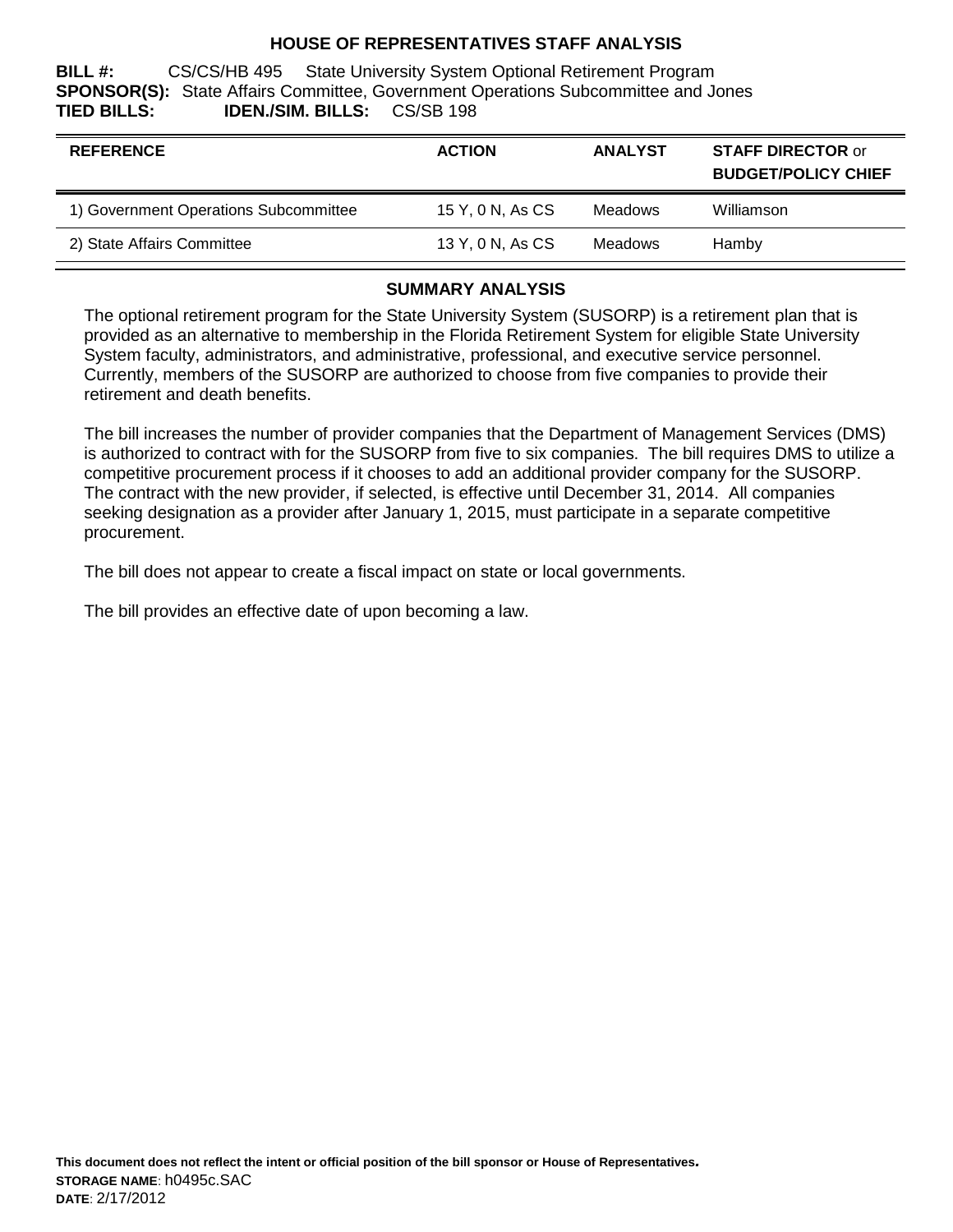#### **HOUSE OF REPRESENTATIVES STAFF ANALYSIS**

**BILL #:** CS/CS/HB 495 State University System Optional Retirement Program **SPONSOR(S):** State Affairs Committee, Government Operations Subcommittee and Jones TIED BILLS: **IDEN./SIM. BILLS:** 

| <b>REFERENCE</b>                      | <b>ACTION</b>    | <b>ANALYST</b> | <b>STAFF DIRECTOR or</b><br><b>BUDGET/POLICY CHIEF</b> |
|---------------------------------------|------------------|----------------|--------------------------------------------------------|
| 1) Government Operations Subcommittee | 15 Y, 0 N, As CS | <b>Meadows</b> | Williamson                                             |
| 2) State Affairs Committee            | 13 Y, 0 N, As CS | Meadows        | Hamby                                                  |

### **SUMMARY ANALYSIS**

The optional retirement program for the State University System (SUSORP) is a retirement plan that is provided as an alternative to membership in the Florida Retirement System for eligible State University System faculty, administrators, and administrative, professional, and executive service personnel. Currently, members of the SUSORP are authorized to choose from five companies to provide their retirement and death benefits.

The bill increases the number of provider companies that the Department of Management Services (DMS) is authorized to contract with for the SUSORP from five to six companies. The bill requires DMS to utilize a competitive procurement process if it chooses to add an additional provider company for the SUSORP. The contract with the new provider, if selected, is effective until December 31, 2014. All companies seeking designation as a provider after January 1, 2015, must participate in a separate competitive procurement.

The bill does not appear to create a fiscal impact on state or local governments.

The bill provides an effective date of upon becoming a law.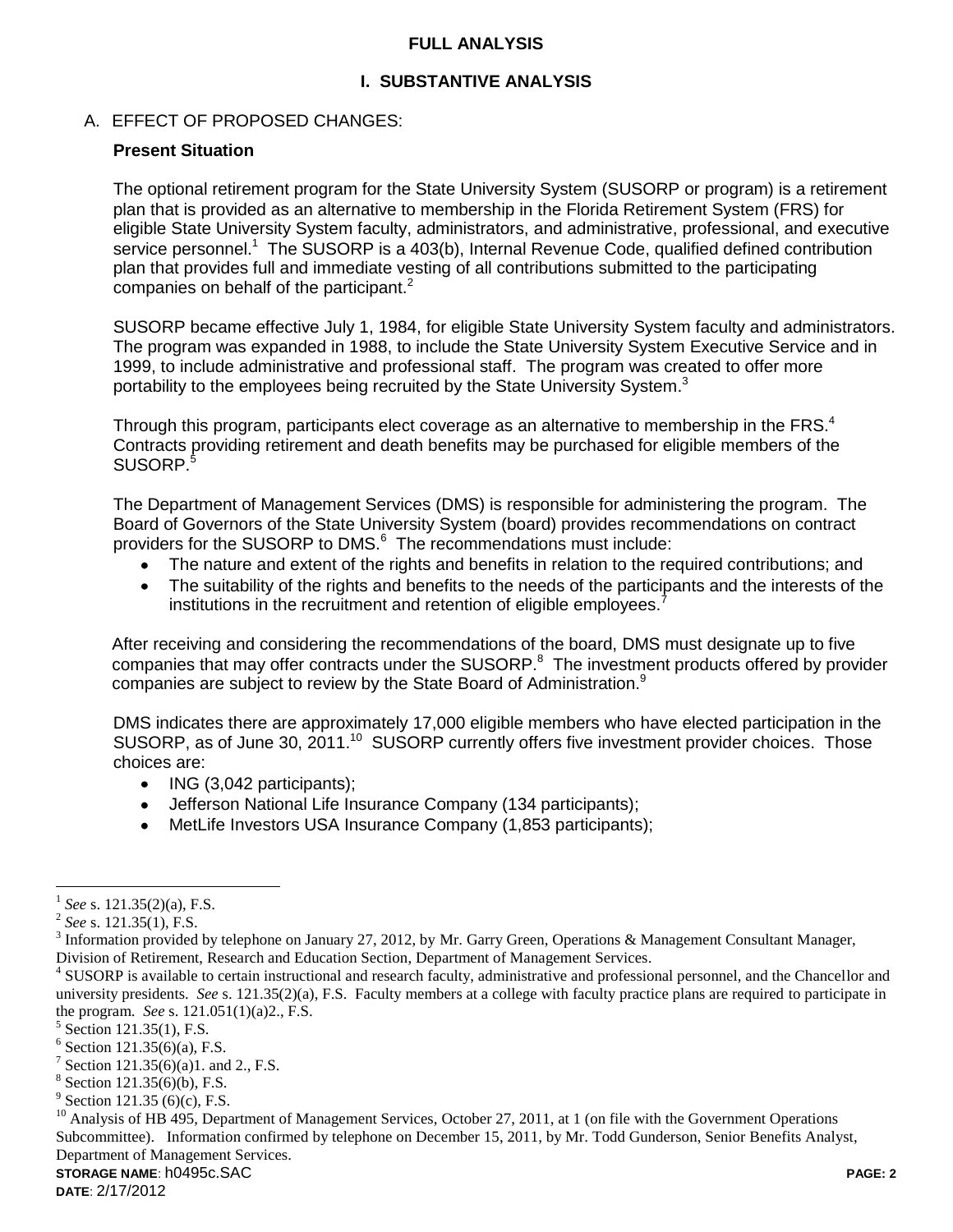#### **FULL ANALYSIS**

## **I. SUBSTANTIVE ANALYSIS**

#### A. EFFECT OF PROPOSED CHANGES:

#### **Present Situation**

The optional retirement program for the State University System (SUSORP or program) is a retirement plan that is provided as an alternative to membership in the Florida Retirement System (FRS) for eligible State University System faculty, administrators, and administrative, professional, and executive service personnel.<sup>1</sup> The SUSORP is a 403(b), Internal Revenue Code, qualified defined contribution plan that provides full and immediate vesting of all contributions submitted to the participating companies on behalf of the participant. $2$ 

SUSORP became effective July 1, 1984, for eligible State University System faculty and administrators. The program was expanded in 1988, to include the State University System Executive Service and in 1999, to include administrative and professional staff. The program was created to offer more portability to the employees being recruited by the State University System.<sup>3</sup>

Through this program, participants elect coverage as an alternative to membership in the FRS. $4$ Contracts providing retirement and death benefits may be purchased for eligible members of the SUSORP. 5

The Department of Management Services (DMS) is responsible for administering the program. The Board of Governors of the State University System (board) provides recommendations on contract providers for the SUSORP to DMS.<sup>6</sup> The recommendations must include:

- The nature and extent of the rights and benefits in relation to the required contributions; and
- The suitability of the rights and benefits to the needs of the participants and the interests of the  $\bullet$ institutions in the recruitment and retention of eligible employees.<sup>7</sup>

After receiving and considering the recommendations of the board, DMS must designate up to five companies that may offer contracts under the SUSORP. $8$  The investment products offered by provider companies are subject to review by the State Board of Administration.<sup>9</sup>

DMS indicates there are approximately 17,000 eligible members who have elected participation in the SUSORP, as of June 30, 2011.<sup>10</sup> SUSORP currently offers five investment provider choices. Those choices are:

- $\bullet$  ING (3,042 participants);
- Jefferson National Life Insurance Company (134 participants);
- MetLife Investors USA Insurance Company (1,853 participants);

 $\overline{a}$ 

<sup>1</sup> *See* s. 121.35(2)(a), F.S.

<sup>2</sup> *See* s. 121.35(1), F.S.

<sup>&</sup>lt;sup>3</sup> Information provided by telephone on January 27, 2012, by Mr. Garry Green, Operations & Management Consultant Manager, Division of Retirement, Research and Education Section, Department of Management Services.

<sup>&</sup>lt;sup>4</sup> SUSORP is available to certain instructional and research faculty, administrative and professional personnel, and the Chancellor and university presidents. *See* s. 121.35(2)(a), F.S. Faculty members at a college with faculty practice plans are required to participate in the program. *See* s. 121.051(1)(a)2., F.S.

<sup>&</sup>lt;sup>5</sup> Section 121.35(1), F.S.

 $6$  Section 121.35(6)(a), F.S.

<sup>&</sup>lt;sup>7</sup> Section 121.35(6)(a)1. and 2., F.S.

 $8$  Section 121.35(6)(b), F.S.

 $9^9$  Section 121.35 (6)(c), F.S.

<sup>&</sup>lt;sup>10</sup> Analysis of HB 495, Department of Management Services, October 27, 2011, at 1 (on file with the Government Operations Subcommittee). Information confirmed by telephone on December 15, 2011, by Mr. Todd Gunderson, Senior Benefits Analyst, Department of Management Services.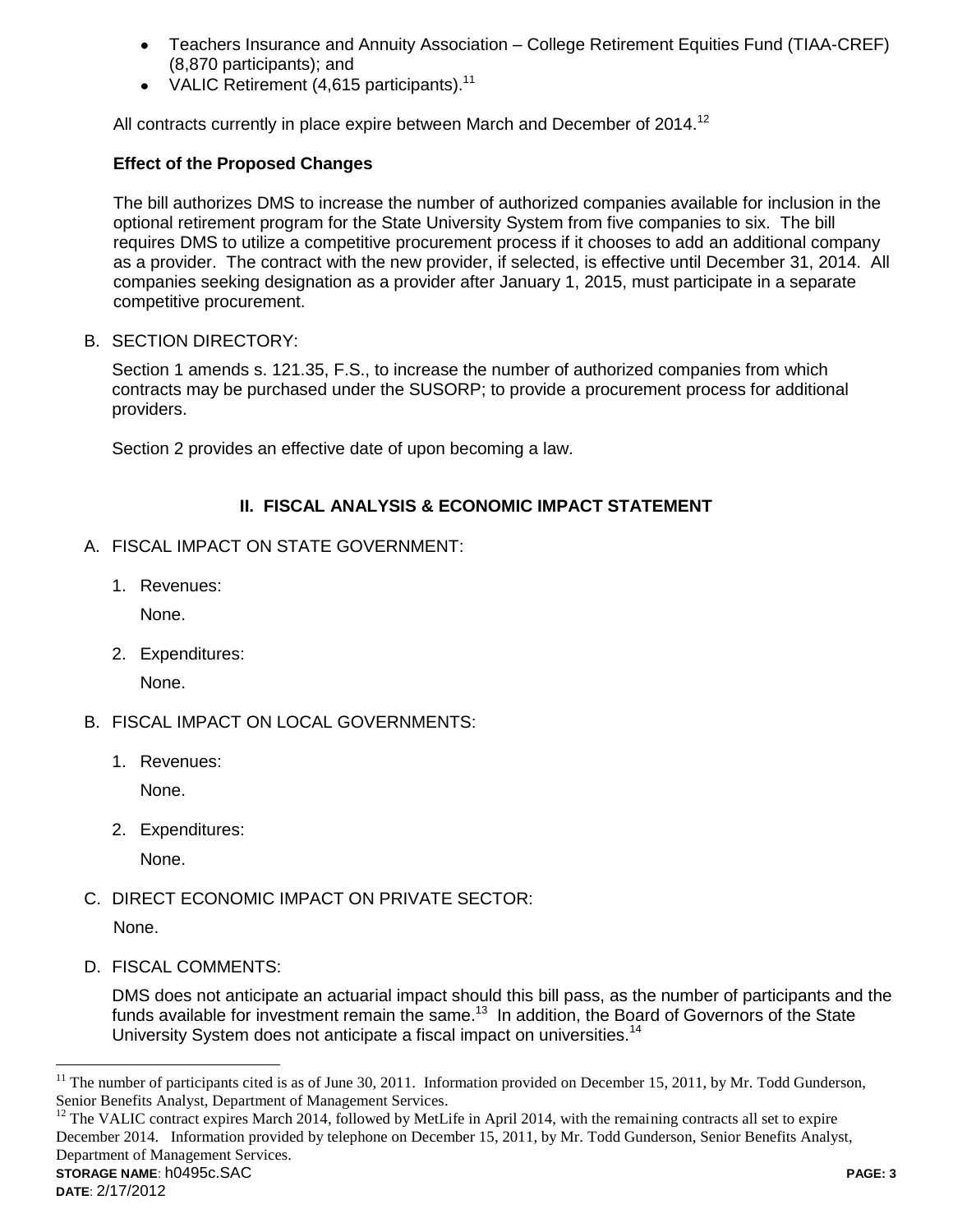- Teachers Insurance and Annuity Association College Retirement Equities Fund (TIAA-CREF) (8,870 participants); and
- VALIC Retirement  $(4,615$  participants).<sup>11</sup>

All contracts currently in place expire between March and December of  $2014$ <sup>12</sup>

### **Effect of the Proposed Changes**

The bill authorizes DMS to increase the number of authorized companies available for inclusion in the optional retirement program for the State University System from five companies to six. The bill requires DMS to utilize a competitive procurement process if it chooses to add an additional company as a provider. The contract with the new provider, if selected, is effective until December 31, 2014. All companies seeking designation as a provider after January 1, 2015, must participate in a separate competitive procurement.

B. SECTION DIRECTORY:

Section 1 amends s. 121.35, F.S., to increase the number of authorized companies from which contracts may be purchased under the SUSORP; to provide a procurement process for additional providers.

Section 2 provides an effective date of upon becoming a law.

# **II. FISCAL ANALYSIS & ECONOMIC IMPACT STATEMENT**

- A. FISCAL IMPACT ON STATE GOVERNMENT:
	- 1. Revenues:

None.

2. Expenditures:

None.

- B. FISCAL IMPACT ON LOCAL GOVERNMENTS:
	- 1. Revenues:

None.

2. Expenditures:

None.

C. DIRECT ECONOMIC IMPACT ON PRIVATE SECTOR:

None.

D. FISCAL COMMENTS:

DMS does not anticipate an actuarial impact should this bill pass, as the number of participants and the funds available for investment remain the same.<sup>13</sup> In addition, the Board of Governors of the State University System does not anticipate a fiscal impact on universities.<sup>14</sup>

**STORAGE NAME**: h0495c.SAC **PAGE: 3**  $12$  The VALIC contract expires March 2014, followed by MetLife in April 2014, with the remaining contracts all set to expire December 2014. Information provided by telephone on December 15, 2011, by Mr. Todd Gunderson, Senior Benefits Analyst, Department of Management Services.

 $\overline{a}$ 

<sup>11</sup> The number of participants cited is as of June 30, 2011. Information provided on December 15, 2011, by Mr. Todd Gunderson, Senior Benefits Analyst, Department of Management Services.